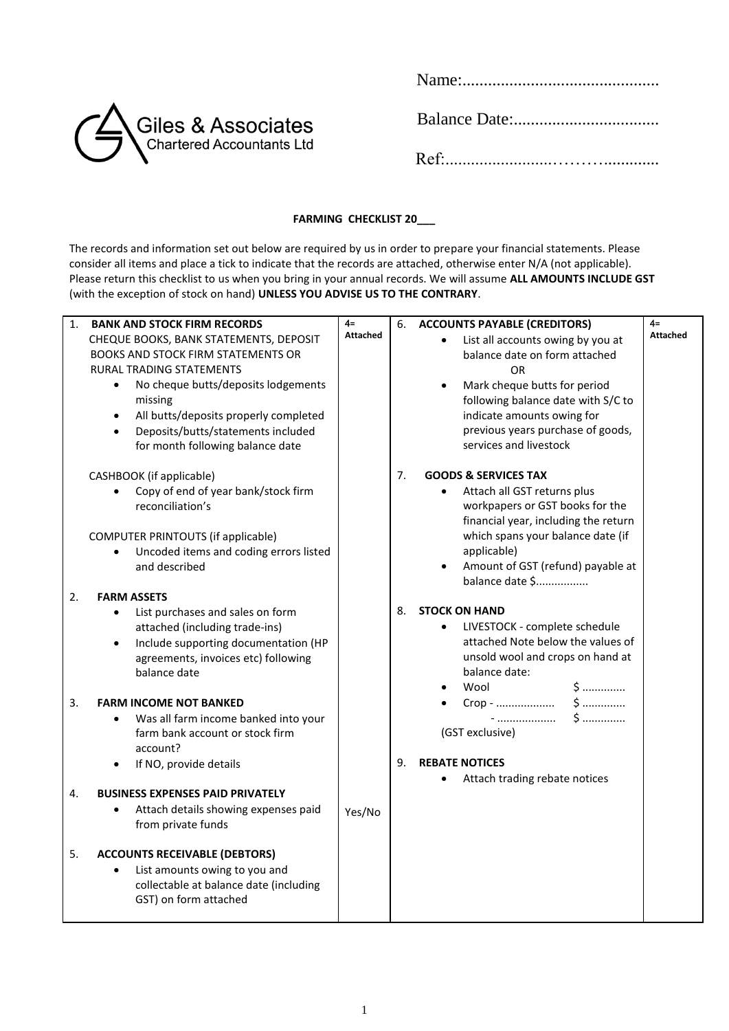| Giles & Associates |  |
|--------------------|--|
|                    |  |

Name:..............................................

## **FARMING CHECKLIST 20\_\_\_**

The records and information set out below are required by us in order to prepare your financial statements. Please consider all items and place a tick to indicate that the records are attached, otherwise enter N/A (not applicable). Please return this checklist to us when you bring in your annual records. We will assume **ALL AMOUNTS INCLUDE GST** (with the exception of stock on hand) **UNLESS YOU ADVISE US TO THE CONTRARY**.

| 1. | <b>BANK AND STOCK FIRM RECORDS</b><br>CHEQUE BOOKS, BANK STATEMENTS, DEPOSIT<br>BOOKS AND STOCK FIRM STATEMENTS OR<br><b>RURAL TRADING STATEMENTS</b><br>No cheque butts/deposits lodgements<br>$\bullet$<br>missing<br>All butts/deposits properly completed<br>$\bullet$<br>Deposits/butts/statements included<br>$\bullet$<br>for month following balance date | $4=$<br><b>Attached</b> | 6. | <b>ACCOUNTS PAYABLE (CREDITORS)</b><br>List all accounts owing by you at<br>balance date on form attached<br>OR<br>Mark cheque butts for period<br>following balance date with S/C to<br>indicate amounts owing for<br>previous years purchase of goods,<br>services and livestock | $4=$<br><b>Attached</b> |
|----|-------------------------------------------------------------------------------------------------------------------------------------------------------------------------------------------------------------------------------------------------------------------------------------------------------------------------------------------------------------------|-------------------------|----|------------------------------------------------------------------------------------------------------------------------------------------------------------------------------------------------------------------------------------------------------------------------------------|-------------------------|
|    | CASHBOOK (if applicable)<br>Copy of end of year bank/stock firm<br>$\bullet$<br>reconciliation's<br>COMPUTER PRINTOUTS (if applicable)<br>Uncoded items and coding errors listed<br>$\bullet$<br>and described                                                                                                                                                    |                         | 7. | <b>GOODS &amp; SERVICES TAX</b><br>Attach all GST returns plus<br>workpapers or GST books for the<br>financial year, including the return<br>which spans your balance date (if<br>applicable)<br>Amount of GST (refund) payable at<br>balance date \$                              |                         |
| 2. | <b>FARM ASSETS</b><br>List purchases and sales on form<br>$\bullet$<br>attached (including trade-ins)<br>Include supporting documentation (HP<br>$\bullet$<br>agreements, invoices etc) following<br>balance date                                                                                                                                                 |                         | 8. | <b>STOCK ON HAND</b><br>LIVESTOCK - complete schedule<br>$\bullet$<br>attached Note below the values of<br>unsold wool and crops on hand at<br>balance date:<br>Wool<br>\$                                                                                                         |                         |
| 3. | <b>FARM INCOME NOT BANKED</b><br>Was all farm income banked into your<br>$\bullet$<br>farm bank account or stock firm<br>account?<br>If NO, provide details<br>$\bullet$                                                                                                                                                                                          |                         | 9. | $$$<br>-<br>(GST exclusive)<br><b>REBATE NOTICES</b><br>Attach trading rebate notices                                                                                                                                                                                              |                         |
| 4. | <b>BUSINESS EXPENSES PAID PRIVATELY</b><br>Attach details showing expenses paid<br>$\bullet$<br>from private funds                                                                                                                                                                                                                                                | Yes/No                  |    |                                                                                                                                                                                                                                                                                    |                         |
| 5. | <b>ACCOUNTS RECEIVABLE (DEBTORS)</b><br>List amounts owing to you and<br>collectable at balance date (including<br>GST) on form attached                                                                                                                                                                                                                          |                         |    |                                                                                                                                                                                                                                                                                    |                         |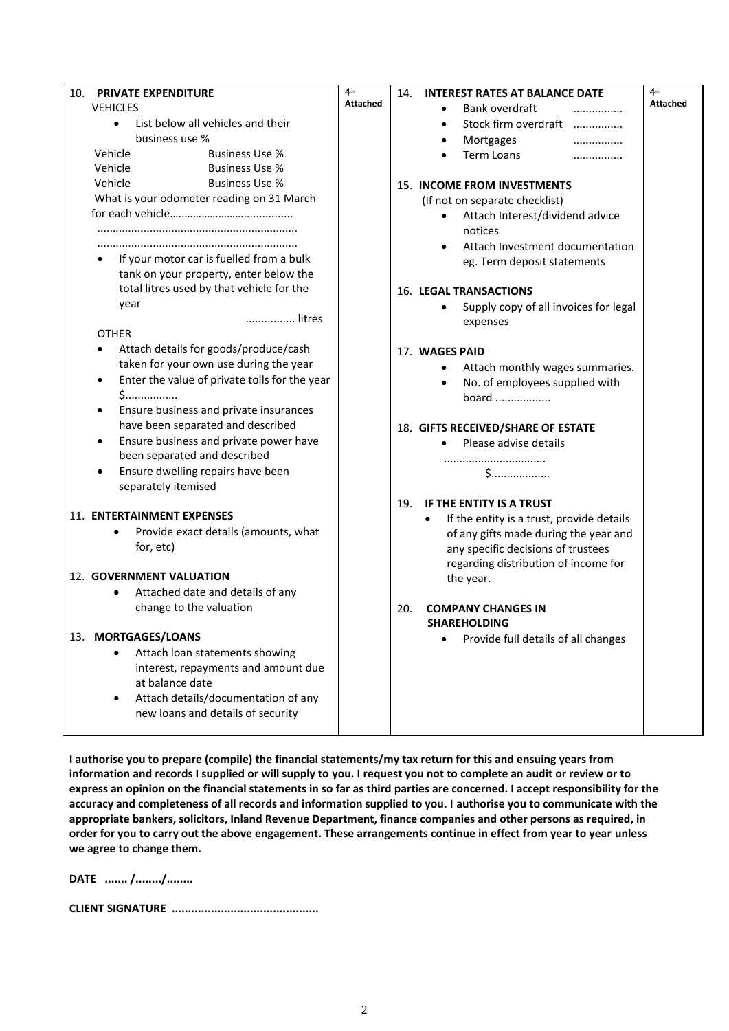| 10.<br><b>PRIVATE EXPENDITURE</b>                          | $4=$            | <b>INTEREST RATES AT BALANCE DATE</b><br>14.                               | $4=$            |
|------------------------------------------------------------|-----------------|----------------------------------------------------------------------------|-----------------|
| <b>VEHICLES</b>                                            | <b>Attached</b> | Bank overdraft                                                             | <b>Attached</b> |
| List below all vehicles and their<br>$\bullet$             |                 | Stock firm overdraft                                                       |                 |
| business use %                                             |                 | Mortgages<br>                                                              |                 |
| Vehicle<br><b>Business Use %</b>                           |                 | Term Loans<br>                                                             |                 |
| Vehicle<br><b>Business Use %</b>                           |                 |                                                                            |                 |
| Vehicle<br><b>Business Use %</b>                           |                 | <b>15. INCOME FROM INVESTMENTS</b>                                         |                 |
| What is your odometer reading on 31 March                  |                 | (If not on separate checklist)                                             |                 |
|                                                            |                 | Attach Interest/dividend advice                                            |                 |
|                                                            |                 | notices                                                                    |                 |
|                                                            |                 | Attach Investment documentation                                            |                 |
| If your motor car is fuelled from a bulk                   |                 | eg. Term deposit statements                                                |                 |
| tank on your property, enter below the                     |                 |                                                                            |                 |
| total litres used by that vehicle for the                  |                 | <b>16. LEGAL TRANSACTIONS</b>                                              |                 |
| year                                                       |                 | Supply copy of all invoices for legal                                      |                 |
| litres                                                     |                 | expenses                                                                   |                 |
| <b>OTHER</b>                                               |                 |                                                                            |                 |
| Attach details for goods/produce/cash                      |                 | 17. WAGES PAID                                                             |                 |
| taken for your own use during the year                     |                 | Attach monthly wages summaries.                                            |                 |
| Enter the value of private tolls for the year<br>$\bullet$ |                 | No. of employees supplied with                                             |                 |
| $5$                                                        |                 | board                                                                      |                 |
| Ensure business and private insurances<br>$\bullet$        |                 |                                                                            |                 |
| have been separated and described                          |                 | 18. GIFTS RECEIVED/SHARE OF ESTATE                                         |                 |
| Ensure business and private power have<br>$\bullet$        |                 | Please advise details                                                      |                 |
| been separated and described                               |                 |                                                                            |                 |
| Ensure dwelling repairs have been                          |                 |                                                                            |                 |
| separately itemised                                        |                 |                                                                            |                 |
| 11. ENTERTAINMENT EXPENSES                                 |                 | IF THE ENTITY IS A TRUST<br>19.                                            |                 |
| Provide exact details (amounts, what                       |                 | If the entity is a trust, provide details<br>$\bullet$                     |                 |
| for, etc)                                                  |                 | of any gifts made during the year and                                      |                 |
|                                                            |                 | any specific decisions of trustees<br>regarding distribution of income for |                 |
| 12. GOVERNMENT VALUATION                                   |                 | the year.                                                                  |                 |
| Attached date and details of any<br>٠                      |                 |                                                                            |                 |
| change to the valuation                                    |                 | 20.<br><b>COMPANY CHANGES IN</b>                                           |                 |
|                                                            |                 | <b>SHAREHOLDING</b>                                                        |                 |
| 13. MORTGAGES/LOANS                                        |                 | Provide full details of all changes                                        |                 |
| Attach loan statements showing                             |                 |                                                                            |                 |
| interest, repayments and amount due                        |                 |                                                                            |                 |
| at balance date                                            |                 |                                                                            |                 |
| Attach details/documentation of any<br>٠                   |                 |                                                                            |                 |
| new loans and details of security                          |                 |                                                                            |                 |
|                                                            |                 |                                                                            |                 |

**I authorise you to prepare (compile) the financial statements/my tax return for this and ensuing years from information and records I supplied or will supply to you. I request you not to complete an audit or review or to express an opinion on the financial statements in so far as third parties are concerned. I accept responsibility for the accuracy and completeness of all records and information supplied to you. I authorise you to communicate with the appropriate bankers, solicitors, Inland Revenue Department, finance companies and other persons as required, in order for you to carry out the above engagement. These arrangements continue in effect from year to year unless we agree to change them.**

**DATE ....... /......../........** 

**CLIENT SIGNATURE .............................................**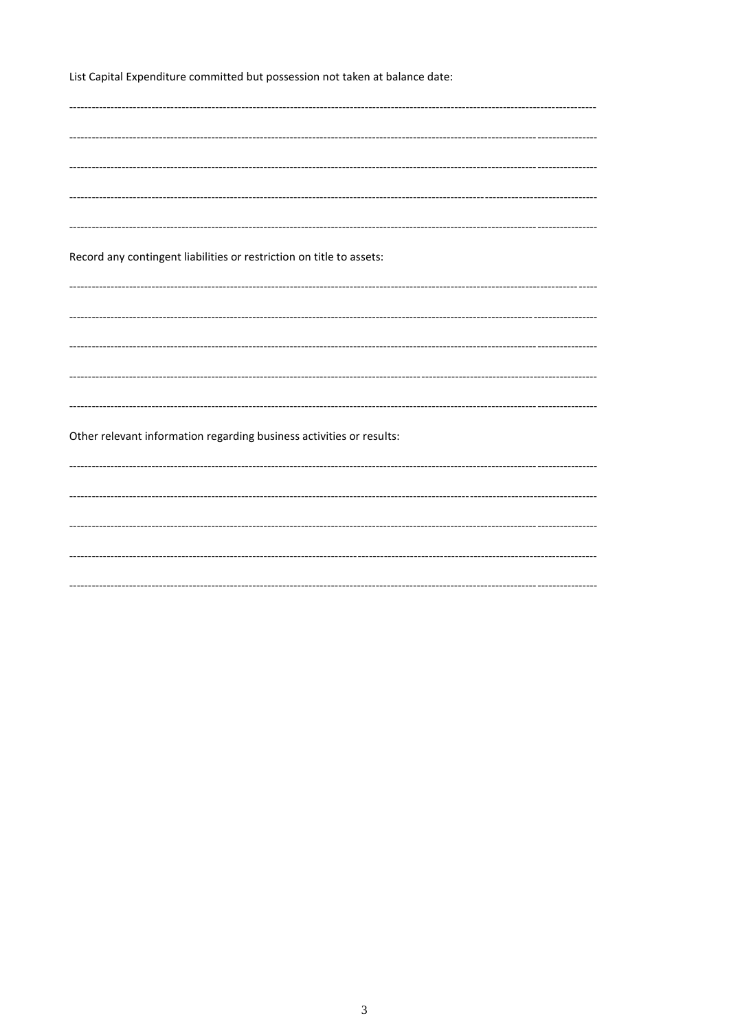List Capital Expenditure committed but possession not taken at balance date:

| Record any contingent liabilities or restriction on title to assets: |  |
|----------------------------------------------------------------------|--|
|                                                                      |  |
|                                                                      |  |
|                                                                      |  |
|                                                                      |  |
|                                                                      |  |
|                                                                      |  |
|                                                                      |  |
|                                                                      |  |
|                                                                      |  |
|                                                                      |  |
|                                                                      |  |
|                                                                      |  |
|                                                                      |  |
|                                                                      |  |
|                                                                      |  |
|                                                                      |  |
|                                                                      |  |
|                                                                      |  |
|                                                                      |  |
|                                                                      |  |
|                                                                      |  |
|                                                                      |  |
|                                                                      |  |
|                                                                      |  |
|                                                                      |  |
|                                                                      |  |
|                                                                      |  |
|                                                                      |  |
|                                                                      |  |
|                                                                      |  |
|                                                                      |  |
| Other relevant information regarding business activities or results: |  |
|                                                                      |  |
|                                                                      |  |
|                                                                      |  |
|                                                                      |  |
|                                                                      |  |
|                                                                      |  |
|                                                                      |  |
|                                                                      |  |
|                                                                      |  |
|                                                                      |  |
|                                                                      |  |
|                                                                      |  |
|                                                                      |  |
|                                                                      |  |
|                                                                      |  |
|                                                                      |  |
|                                                                      |  |
|                                                                      |  |
|                                                                      |  |
|                                                                      |  |
|                                                                      |  |
|                                                                      |  |
|                                                                      |  |
|                                                                      |  |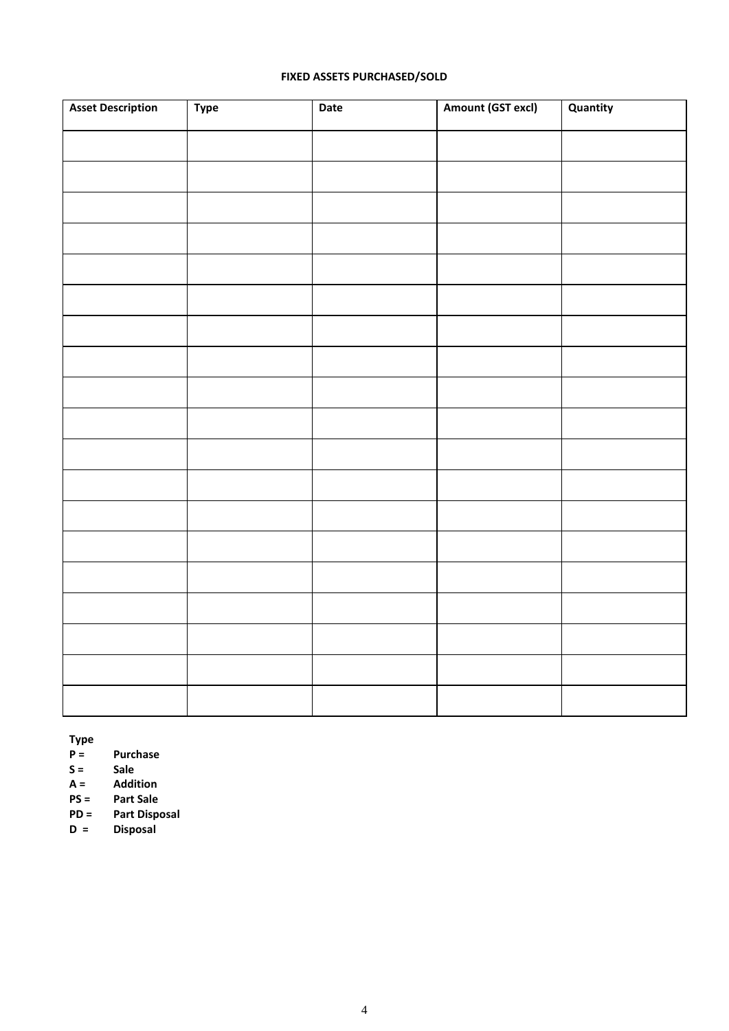## **FIXED ASSETS PURCHASED/SOLD**

| <b>Asset Description</b> | Type | Date | Amount (GST excl) | Quantity |
|--------------------------|------|------|-------------------|----------|
|                          |      |      |                   |          |
|                          |      |      |                   |          |
|                          |      |      |                   |          |
|                          |      |      |                   |          |
|                          |      |      |                   |          |
|                          |      |      |                   |          |
|                          |      |      |                   |          |
|                          |      |      |                   |          |
|                          |      |      |                   |          |
|                          |      |      |                   |          |
|                          |      |      |                   |          |
|                          |      |      |                   |          |
|                          |      |      |                   |          |
|                          |      |      |                   |          |
|                          |      |      |                   |          |
|                          |      |      |                   |          |
|                          |      |      |                   |          |
|                          |      |      |                   |          |
|                          |      |      |                   |          |

**Type P** = **Purchase**<br>**S** = **Sale** 

**S = Sale**

**A = Addition**

**PS = Part Sale**

**PD = Part Disposal D = Disposal**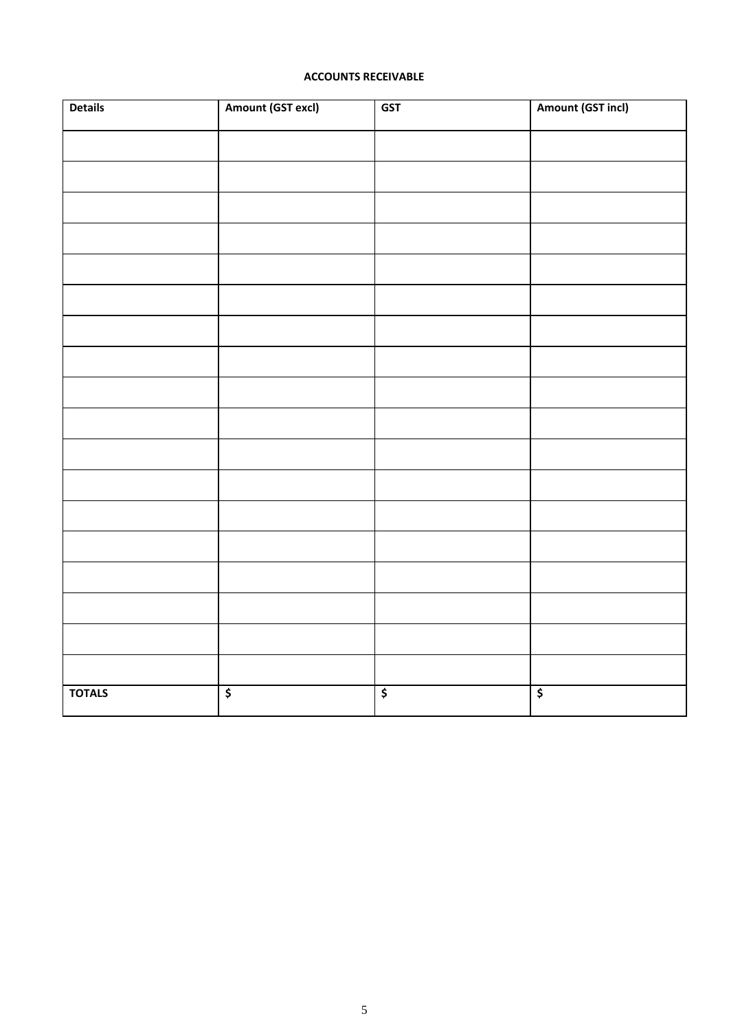## **ACCOUNTS RECEIVABLE**

| <b>Details</b> | Amount (GST excl)               | <b>GST</b>                          | Amount (GST incl)                    |
|----------------|---------------------------------|-------------------------------------|--------------------------------------|
|                |                                 |                                     |                                      |
|                |                                 |                                     |                                      |
|                |                                 |                                     |                                      |
|                |                                 |                                     |                                      |
|                |                                 |                                     |                                      |
|                |                                 |                                     |                                      |
|                |                                 |                                     |                                      |
|                |                                 |                                     |                                      |
|                |                                 |                                     |                                      |
|                |                                 |                                     |                                      |
|                |                                 |                                     |                                      |
|                |                                 |                                     |                                      |
|                |                                 |                                     |                                      |
|                |                                 |                                     |                                      |
|                |                                 |                                     |                                      |
|                |                                 |                                     |                                      |
|                |                                 |                                     |                                      |
|                |                                 |                                     |                                      |
| <b>TOTALS</b>  | $\overline{\boldsymbol{\zeta}}$ | $\overline{\boldsymbol{\varsigma}}$ | $\overline{\boldsymbol{\mathsf{s}}}$ |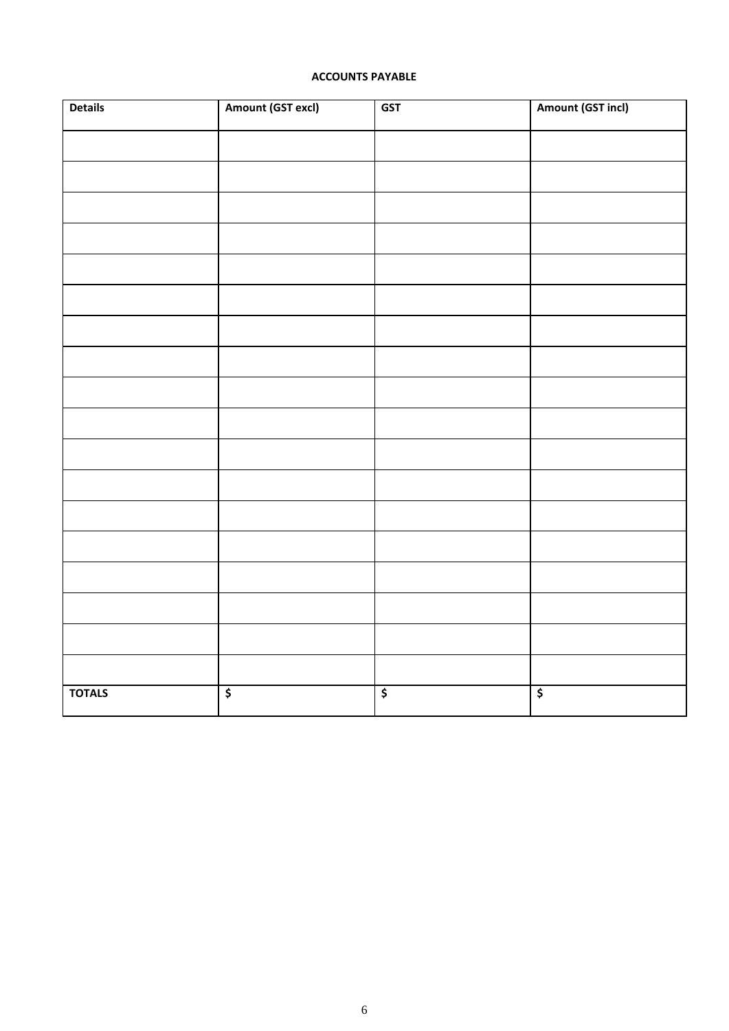## **ACCOUNTS PAYABLE**

| <b>Details</b> | Amount (GST excl)               | <b>GST</b>                          | Amount (GST incl)                    |
|----------------|---------------------------------|-------------------------------------|--------------------------------------|
|                |                                 |                                     |                                      |
|                |                                 |                                     |                                      |
|                |                                 |                                     |                                      |
|                |                                 |                                     |                                      |
|                |                                 |                                     |                                      |
|                |                                 |                                     |                                      |
|                |                                 |                                     |                                      |
|                |                                 |                                     |                                      |
|                |                                 |                                     |                                      |
|                |                                 |                                     |                                      |
|                |                                 |                                     |                                      |
|                |                                 |                                     |                                      |
|                |                                 |                                     |                                      |
|                |                                 |                                     |                                      |
|                |                                 |                                     |                                      |
|                |                                 |                                     |                                      |
|                |                                 |                                     |                                      |
|                |                                 |                                     |                                      |
| <b>TOTALS</b>  | $\overline{\boldsymbol{\zeta}}$ | $\overline{\boldsymbol{\varsigma}}$ | $\overline{\boldsymbol{\mathsf{s}}}$ |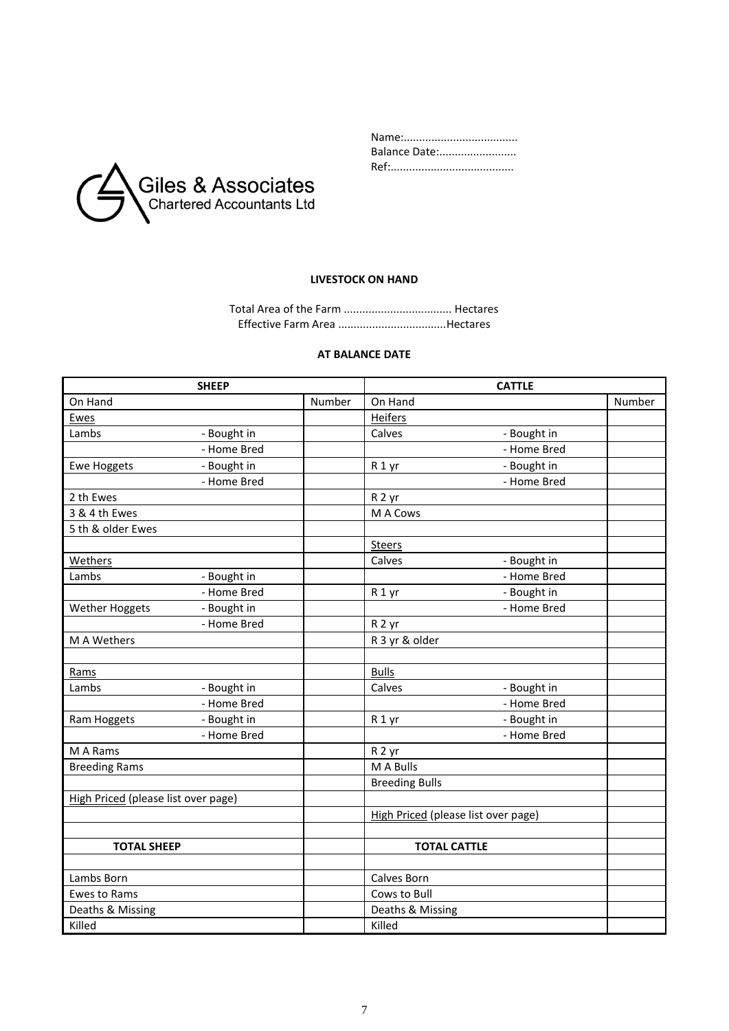

| Balance Date: |
|---------------|
|               |

# **LIVESTOCK ON HAND**

Total Area of the Farm ................................... Hectares Effective Farm Area ...................................Hectares

#### **AT BALANCE DATE**

| <b>SHEEP</b>                        |        | <b>CATTLE</b>                       |        |
|-------------------------------------|--------|-------------------------------------|--------|
| On Hand                             | Number | On Hand                             | Number |
| Ewes                                |        | Heifers                             |        |
| Lambs<br>- Bought in                |        | Calves<br>- Bought in               |        |
| - Home Bred                         |        | - Home Bred                         |        |
| - Bought in<br><b>Ewe Hoggets</b>   |        | - Bought in<br>R <sub>1</sub> yr    |        |
| - Home Bred                         |        | - Home Bred                         |        |
| 2 th Ewes                           |        | R <sub>2</sub> yr                   |        |
| 3 & 4 th Ewes                       |        | M A Cows                            |        |
| 5 th & older Ewes                   |        |                                     |        |
|                                     |        | <b>Steers</b>                       |        |
| Wethers                             |        | Calves<br>- Bought in               |        |
| Lambs<br>- Bought in                |        | - Home Bred                         |        |
| - Home Bred                         |        | - Bought in<br>R <sub>1</sub> yr    |        |
| - Bought in<br>Wether Hoggets       |        | - Home Bred                         |        |
| - Home Bred                         |        | R <sub>2</sub> yr                   |        |
| M A Wethers                         |        | R 3 yr & older                      |        |
|                                     |        |                                     |        |
| Rams                                |        | <b>Bulls</b>                        |        |
| Lambs<br>- Bought in                |        | Calves<br>- Bought in               |        |
| - Home Bred                         |        | - Home Bred                         |        |
| - Bought in<br>Ram Hoggets          |        | - Bought in<br>R <sub>1</sub> yr    |        |
| - Home Bred                         |        | - Home Bred                         |        |
| M A Rams                            |        | R <sub>2</sub> yr                   |        |
| <b>Breeding Rams</b>                |        | M A Bulls                           |        |
|                                     |        | <b>Breeding Bulls</b>               |        |
| High Priced (please list over page) |        |                                     |        |
|                                     |        | High Priced (please list over page) |        |
|                                     |        |                                     |        |
| <b>TOTAL SHEEP</b>                  |        | <b>TOTAL CATTLE</b>                 |        |
|                                     |        |                                     |        |
| Lambs Born                          |        | Calves Born                         |        |
| <b>Ewes to Rams</b>                 |        | Cows to Bull                        |        |
| Deaths & Missing                    |        | Deaths & Missing                    |        |
| Killed                              |        | Killed                              |        |